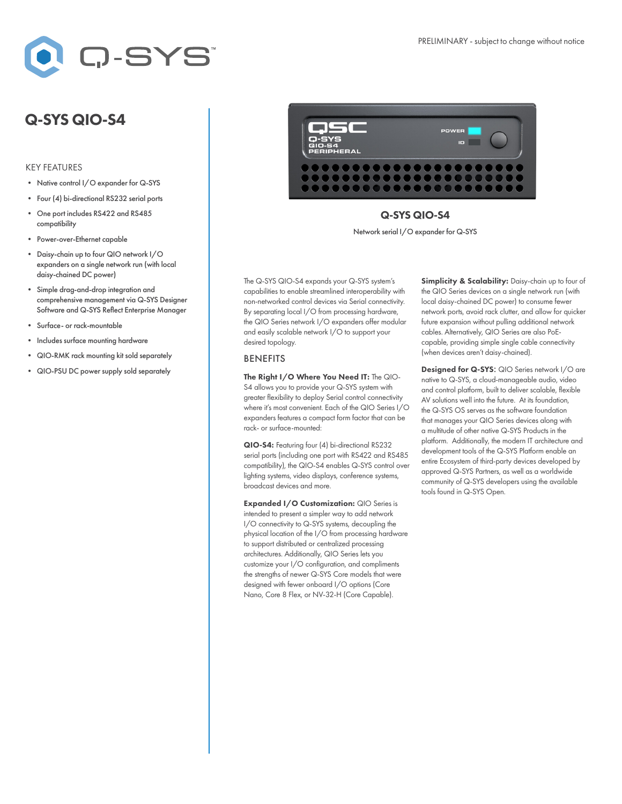

## Q-SYS QIO-S4

## KEY FEATURES

- Native control I/O expander for Q-SYS
- Four (4) bi-directional RS232 serial ports
- One port includes RS422 and RS485 compatibility
- Power-over-Ethernet capable
- Daisy-chain up to four QIO network I/O expanders on a single network run (with local daisy-chained DC power)
- Simple drag-and-drop integration and comprehensive management via Q-SYS Designer Software and Q-SYS Reflect Enterprise Manager
- Surface- or rack-mountable
- Includes surface mounting hardware
- QIO-RMK rack mounting kit sold separately
- QIO-PSU DC power supply sold separately



## Q-SYS QIO-S4

Network serial I/O expander for Q-SYS

The Q-SYS QIO-S4 expands your Q-SYS system's capabilities to enable streamlined interoperability with non-networked control devices via Serial connectivity. By separating local I/O from processing hardware, the QIO Series network I/O expanders offer modular and easily scalable network I/O to support your desired topology.

## BENEFITS

The Right I/O Where You Need IT: The QIO-S4 allows you to provide your Q-SYS system with greater flexibility to deploy Serial control connectivity where it's most convenient. Each of the QIO Series I/O expanders features a compact form factor that can be rack- or surface-mounted:

QIO-S4: Featuring four (4) bi-directional RS232 serial ports (including one port with RS422 and RS485 compatibility), the QIO-S4 enables Q-SYS control over lighting systems, video displays, conference systems, broadcast devices and more.

Expanded I/O Customization: QIO Series is intended to present a simpler way to add network I/O connectivity to Q-SYS systems, decoupling the physical location of the I/O from processing hardware to support distributed or centralized processing architectures. Additionally, QIO Series lets you customize your I/O configuration, and compliments the strengths of newer Q-SYS Core models that were designed with fewer onboard I/O options (Core Nano, Core 8 Flex, or NV-32-H (Core Capable).

Simplicity & Scalability: Daisy-chain up to four of the QIO Series devices on a single network run (with local daisy-chained DC power) to consume fewer network ports, avoid rack clutter, and allow for quicker future expansion without pulling additional network cables. Alternatively, QIO Series are also PoEcapable, providing simple single cable connectivity (when devices aren't daisy-chained).

Designed for Q-SYS: QIO Series network I/O are native to Q-SYS, a cloud-manageable audio, video and control platform, built to deliver scalable, flexible AV solutions well into the future. At its foundation, the Q-SYS OS serves as the software foundation that manages your QIO Series devices along with a multitude of other native Q-SYS Products in the platform. Additionally, the modern IT architecture and development tools of the Q-SYS Platform enable an entire Ecosystem of third-party devices developed by approved Q-SYS Partners, as well as a worldwide community of Q-SYS developers using the available tools found in Q-SYS Open.